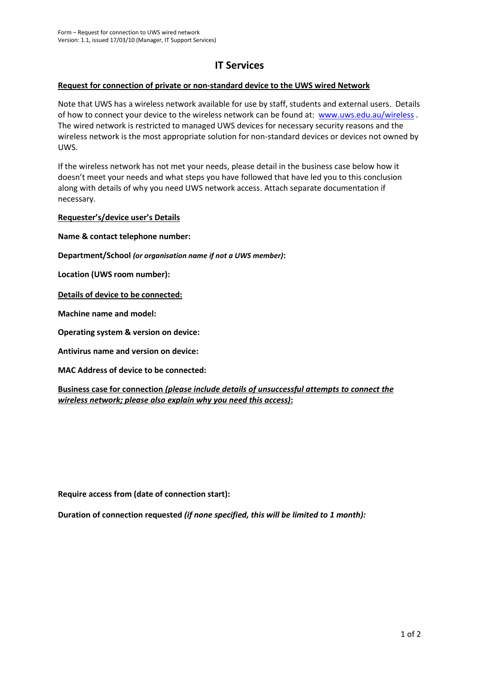## **IT Services**

## **Request for connection of private or non-standard device to the UWS wired Network**

Note that UWS has a wireless network available for use by staff, students and external users. Details of how to connect your device to the wireless network can be found at: [www.uws.edu.au/wireless](http://www.uws.edu.au/wireless). The wired network is restricted to managed UWS devices for necessary security reasons and the wireless network is the most appropriate solution for non-standard devices or devices not owned by UWS.

If the wireless network has not met your needs, please detail in the business case below how it doesn't meet your needs and what steps you have followed that have led you to this conclusion along with details of why you need UWS network access. Attach separate documentation if necessary.

**Requester's/device user's Details** 

**Name & contact telephone number:**

**Department/School** *(or organisation name if not a UWS member)***:**

**Location (UWS room number):** 

**Details of device to be connected:** 

**Machine name and model:**

**Operating system & version on device:**

**Antivirus name and version on device:**

**MAC Address of device to be connected:**

**Business case for connection** *(please include details of unsuccessful attempts to connect the wireless network; please also explain why you need this access)***:**

**Require access from (date of connection start):**

**Duration of connection requested** *(if none specified, this will be limited to 1 month):*